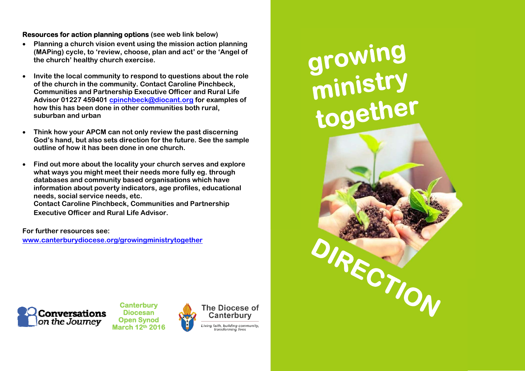## **Resources for action planning options (see web link below)**

- $\bullet$  **Planning a church vision event using the mission action planning (MAPing) cycle, to 'review, choose, plan and act' or the 'Angel of the church' healthy church exercise.**
- $\bullet$  **Invite the local community to respond to questions about the role of the church in the community. Contact Caroline Pinchbeck, Communities and Partnership Executive Officer and Rural Life Advisor 01227 459401 cpinchbeck@diocant.org for examples of how this has been done in other communities both rural, suburban and urban**
- $\bullet$  **Think how your APCM can not only review the past discerning God's hand, but also sets direction for the future. See the sample outline of how it has been done in one church.**
- $\bullet$  **Find out more about the locality your church serves and explore what ways you might meet their needs more fully eg. through databases and community based organisations which have information about poverty indicators, age profiles, educational needs, social service needs, etc. Contact Caroline Pinchbeck, Communities and Partnership Executive Officer and Rural Life Advisor.**

**For further resources see: www.canterburydiocese.org/growingministrytogether**



**Canterbury Diocesan Open Synod March 12th 2016** 



# growing<br>ministry<br>together

**Direction: How is your church developing a vision that**